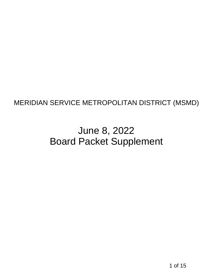# MERIDIAN SERVICE METROPOLITAN DISTRICT (MSMD)<br>June 8, 2022<br>Board Packet Supplement<br>10<sup>115</sup> June 8, 2022 Board Packet Supplement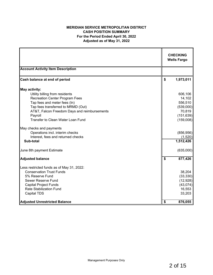# **MERIDIAN SERVICE METROPOLITAN DISTRICT CASH POSITION SUMMARY For the Period Ended April 30, 2022 Adjusted as of May 31, 2022**

|                                                         |                    | <b>CHECKING</b><br><b>Wells Fargo</b> |
|---------------------------------------------------------|--------------------|---------------------------------------|
| <b>Account Activity Item Description</b>                |                    |                                       |
| Cash balance at end of period                           | \$                 | 1,973,011                             |
| <b>May activity:</b>                                    |                    |                                       |
| Utility billing from residents                          |                    | 606,106                               |
| <b>Recreation Center Program Fees</b>                   |                    | 14,102                                |
| Tap fees and meter fees (In)                            |                    | 556,510                               |
| Tap fees transferred to MRMD (Out)                      |                    | (539,000)                             |
| AT&T, Falcon Freedom Days and reimbursements<br>Payroll |                    | 70,819<br>(151, 639)                  |
| Transfer to Clean Water Loan Fund                       |                    | (159,008)                             |
| May checks and payments                                 |                    |                                       |
| Operations incl. interim checks                         |                    | (856, 956)                            |
| Interest, fees and returned checks                      |                    | (1,520)                               |
| Sub-total                                               |                    | 1,512,426                             |
| June 8th payment Estimate                               |                    | (635,000)                             |
| <b>Adjusted balance</b>                                 | $\mathbf{\hat{s}}$ | 877,426                               |
| Less restricted funds as of May 31, 2022:               |                    |                                       |
| <b>Conservation Trust Funds</b>                         |                    | 38,204                                |
| 5% Reserve Fund                                         |                    | (33, 330)                             |
| Sewer Reserve Fund                                      |                    | (12, 928)                             |
| <b>Capital Project Funds</b>                            |                    | (43, 074)                             |
| <b>Rate Stabilization Fund</b>                          |                    | 16,553                                |
| Capital TDS                                             |                    | 33,203                                |
| <b>Adjusted Unrestricted Balance</b>                    | \$                 | 876,055                               |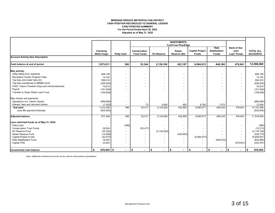### **MERIDIAN SERVICE METROPOLITAN DISTRICT CASH POSITION RECONCILED TO GENERAL LEDGER For the Period Ended April 30, 2022 Adjusted as of May 31, 2022 CASH POSITION SUMMARY**

|                                              |                                |                          |                                    |                          | <b>INVESTMENTS</b>            |                                        |                                              |                                                  |                                     |
|----------------------------------------------|--------------------------------|--------------------------|------------------------------------|--------------------------|-------------------------------|----------------------------------------|----------------------------------------------|--------------------------------------------------|-------------------------------------|
|                                              |                                |                          |                                    |                          | <b>ColoTrust Plus/Edge</b>    |                                        |                                              |                                                  |                                     |
|                                              | Checking<br><b>Wells Fargo</b> | <b>Petty Cash</b>        | Conservation<br><b>Trust Funds</b> | 5% Reserve               | <b>Sewer</b><br>Reserve (\$2) | <b>Capital Project</b><br><b>Funds</b> | Rate<br><b>Stabilization</b><br><b>Funds</b> | <b>Bank of San</b><br>Juan<br><b>Loan 'Funds</b> | <b>TOTAL ALL</b><br><b>ACCOUNTS</b> |
| <b>Account Activity Item Description</b>     |                                |                          |                                    |                          |                               |                                        |                                              |                                                  |                                     |
| Cash balance at end of period                | 1,973,011                      | 386                      | 53,344                             | 2,139,336                | 422,187                       | 6,884,815                              | 648,360                                      | 476,641                                          | 12,598,080                          |
| May activity:                                |                                |                          |                                    |                          |                               |                                        |                                              |                                                  |                                     |
| Utility billing from residents               | 606,106                        |                          | $\overline{\phantom{a}}$           | $\overline{\phantom{a}}$ |                               |                                        | $\overline{\phantom{a}}$                     |                                                  | 606,106                             |
| Recreation Center Program Fees               | 14,102                         |                          | $\overline{\phantom{a}}$           |                          |                               |                                        | $\overline{\phantom{a}}$                     |                                                  | 14,102                              |
| Tap fees and meter fees (In)                 | 556,510                        |                          | $\overline{\phantom{a}}$           |                          |                               |                                        | $\overline{\phantom{a}}$                     |                                                  | 556,510                             |
| Tap fees transferred to MRMD (Out)           | (539,000)                      | $\overline{\phantom{0}}$ | $\overline{\phantom{a}}$           |                          |                               |                                        | $\overline{\phantom{a}}$                     |                                                  | (539,000)                           |
| AT&T, Falcon Freedom Days and reimbursements | 70,819                         |                          |                                    |                          |                               |                                        | $\overline{\phantom{a}}$                     |                                                  | 70,819                              |
| Payroll                                      | (151, 639)                     |                          |                                    |                          |                               |                                        | $\overline{\phantom{a}}$                     |                                                  | (151, 639)                          |
| Transfer to Clean Water Loan Fund            | (159,008)                      |                          |                                    |                          |                               |                                        |                                              |                                                  | (159,008)                           |
| May checks and payments                      |                                |                          |                                    |                          |                               |                                        |                                              |                                                  |                                     |
| Operations incl. interim checks              | (856, 956)                     | $\overline{\phantom{0}}$ | $\overline{\phantom{a}}$           | $\overline{\phantom{0}}$ | $\overline{\phantom{a}}$      |                                        | $\overline{\phantom{a}}$                     |                                                  | (856, 956)                          |
| Interest, fees and returned checks           | (1,520)                        |                          | 73                                 | 3,493                    | 662                           | 8,762                                  | 1,073                                        |                                                  | 12,544                              |
| Sub-total                                    | 1,512,426                      | 386                      | 53,417                             | 2,142,829                | 422,850                       | 6,893,577                              | 649,433                                      | 476,641                                          | 12,151,558                          |
| June 8th payment Estimate                    | (635,000)                      | $\overline{\phantom{a}}$ |                                    |                          |                               |                                        |                                              |                                                  | (635,000)                           |
| <b>Adjusted balance</b>                      | 877,426                        | 386                      | 53,417                             | 2,142,829                | 422,850                       | 6,893,577                              | 649,433                                      | 476,641                                          | 11,516,558                          |
| Less restricted funds as of May 31, 2022:    |                                |                          |                                    |                          |                               |                                        |                                              |                                                  |                                     |
| Petty Cash                                   |                                | (386)                    |                                    |                          |                               |                                        | $\overline{\phantom{a}}$                     |                                                  | (386)                               |
| <b>Conservation Trust Funds</b>              | 38,204                         | $\overline{\phantom{a}}$ | (53, 417)                          |                          |                               |                                        | $\overline{\phantom{a}}$                     |                                                  | (15, 213)                           |
| 5% Reserve Fund                              | (33, 330)                      | $\overline{\phantom{a}}$ |                                    | (2, 142, 829)            |                               |                                        |                                              |                                                  | (2, 176, 159)                       |
| Sewer Reserve Fund                           | (12, 928)                      |                          |                                    |                          | (422, 850)                    |                                        |                                              |                                                  | (435, 778)                          |
| <b>Capital Project Funds</b>                 | (43, 074)                      | $\overline{\phantom{0}}$ | $\overline{\phantom{a}}$           |                          |                               | (6,893,577)                            |                                              |                                                  | (6,936,651)                         |
| Rate Stabilization Fund                      | 16,553                         |                          | $\overline{\phantom{a}}$           |                          |                               |                                        | (649, 433)                                   |                                                  | (632, 880)                          |
| Capital TDS                                  | 33,203                         | $\overline{\phantom{0}}$ | $\overline{\phantom{a}}$           | $\overline{\phantom{a}}$ |                               |                                        |                                              | (476, 641)                                       | (443, 437)                          |
| <b>Unrestricted cash balance</b>             | $876,055$ \$<br>\$             |                          | $\sqrt{5}$<br>$\blacksquare$       | \$<br>$\blacksquare$     | $\sqrt{2}$                    | $\sqrt{2}$<br>$\blacksquare$           | \$<br>$\blacksquare$                         | S.                                               | 876,055                             |

Note: Additional investment accounts can be used for extraordinary expenditures.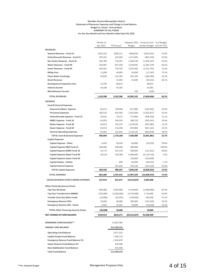### **Meridian Service Metropolitan District Statement of Revenues, Expenses and Change in Fund Balance Budget vs. Actual - Accrual Basis SUMMARY OF ALL FUNDS For the One Month and Four Months Ended April 30, 2022**

|                                              | Month of<br>Apr 2022 | <b>YTD Actual</b> | <b>Budget</b>            | Adopted 2022 Variance Over % of Budget<br>(Under) Budget (33.3% YTD) |        |
|----------------------------------------------|----------------------|-------------------|--------------------------|----------------------------------------------------------------------|--------|
| <b>REVENUES</b>                              |                      |                   |                          |                                                                      |        |
| General Revenue - Fund 10                    | \$201,553            | \$206,211         | \$368,634                | (5162, 423)                                                          | 55.9%  |
| Parks/Grounds Revenue - Fund 15              | 105,352              | 416,569           | 1,271,805                | (855, 236)                                                           | 32.8%  |
| Rec Center Revenue - Fund 16                 | 182,789              | 716,401           | 2,206,548                | (1,490,147)                                                          | 32.5%  |
| <b>Water Revenue - Fund 40</b>               | 243,991              | 937,556           | 3,318,835                | (2,381,279)                                                          | 28.2%  |
| Sewer Revenue - Fund 50                      | 263,562              | 729,755           | 3,281,460                | (2,551,705)                                                          | 22.2%  |
| <b>Billing Fees</b>                          | 11,068               | 46,805            | 64,000                   | (17, 195)                                                            | 73.1%  |
| <b>Clean Water Surcharge</b>                 | 44,649               | 141,362           | 425,760                  | (284, 398)                                                           | 33.2%  |
| <b>Grant Revenue</b>                         |                      | 15,469            | 55,000                   | (39, 531)                                                            | 28.1%  |
| <b>Development Inspection Fees</b>           | 12,250               | 68,875            | $\overline{\phantom{a}}$ | 68,875                                                               |        |
| <b>Interest Income</b>                       | 38,184               | 43,582            |                          | 43,582                                                               |        |
| <b>Miscellaneous Income</b>                  |                      |                   | 150                      | (150)                                                                |        |
| <b>TOTAL REVENUES</b>                        | 1,103,398            | 3,322,586         | 10,992,192               | (7,669,606)                                                          | 30.2%  |
| <b>EXPENSES</b>                              |                      |                   |                          |                                                                      |        |
| <b>Fund &amp; General Expenses</b>           |                      |                   |                          |                                                                      |        |
| General & Admin. Expense                     | 66,515               | 199,698           | 817,989                  | (618, 291)                                                           | 24.4%  |
| <b>Personnel Expenses</b>                    | 166,526              | 616,583           | 2,542,460                | (1,925,877)                                                          | 24.3%  |
| Parks/Grounds Expense - Fund 15              | 20,016               | 75,572            | 575,000                  | (499, 428)                                                           | 13.1%  |
| <b>MRRC Expense - Fund 16</b>                | 62,020               | 149,559           | 508,720                  | (359, 161)                                                           | 29.4%  |
| Water Expense - Fund 40                      | 36,013               | 142,415           | 1,139,500                | (997,085)                                                            | 12.5%  |
| Sewer Expense - Fund 50                      | 63,012               | 212,638           | 843,800                  | (631, 162)                                                           | 25.2%  |
| <b>General Operating Expenses</b>            | 81,962               | 322,642           | 1,133,520                | (810, 878)                                                           | 28.5%  |
| <b>TOTAL Fund &amp; General Expenses</b>     | 496,064              | 1,719,108         | 7,560,989                | (5,841,881)                                                          | 22.7%  |
| <b>Capital Expenses</b>                      |                      |                   |                          |                                                                      |        |
| Capital Expense - Other                      | 6,420                | 30,030            | 60,000                   | (29, 970)                                                            | 50.0%  |
| Capital Expense P&G Fund 15                  | 300,000              | 300,000           | 300,000                  |                                                                      | 100.0% |
| <b>Capital Expense MRRC Fund 16</b>          | 23,772               | 155,378           | 268,000                  | (112, 622)                                                           | 58.0%  |
| Capital Expense Water Fund 40                | 39,228               | 150,280           | 6,280,000                | (6, 129, 720)                                                        | 2.4%   |
| <b>Capital Expense Sewer Fund 50</b>         |                      |                   | 150,000                  | (150,000)                                                            |        |
| Capital Outlay - Vehicle                     |                      | 899               | 85,000                   | (84, 101)                                                            | 1.1%   |
| <b>Capital Interest Expense</b>              |                      | 351,620           | 703,240                  | (351, 620)                                                           | 50.0%  |
| <b>TOTAL Capital Expenses</b>                | 369,420              | 988,207           | 7,846,240                | (6,858,033)                                                          | 12.6%  |
| <b>TOTAL EXPENSES</b>                        | 865,484              | 2,707,315         | 15,407,229               | (12,699,914)                                                         | 17.6%  |
| <b>EXCESS REVENUES OVER (UNDER) EXPENSES</b> | 237,914              | 615,271           | (4, 415, 037)            | 5,030,308                                                            |        |
| <b>Other Financing Sources (Uses)</b>        |                      |                   |                          |                                                                      |        |
| <b>Tap Fees Received</b>                     | 699,000              | 3,054,000         | 4,750,000                | (1,696,000)                                                          | 64.3%  |
| <b>Tap Fees Transferred to MRMD</b>          | (742,000)            | (3,036,000)       | (4,750,000)              | 1,714,000                                                            | 63.9%  |
| <b>Transfer from (to) Other Funds</b>        | (23,089)             | (92,042)          | (278,000)                | 185,958                                                              | 33.1%  |
| <b>Emergency Reserve (5%)</b>                | 16,665               | 66,680            | 200,000                  | (133, 320)                                                           | 33.3%  |
| Emergency Reserve (\$2) - Sewer              | 6,424                | 25,362            | 78,000                   | (52, 638)                                                            | 32.5%  |
| <b>TOTAL Other Financing Sources (Uses)</b>  | (43,000)             | 18,000            |                          | 18,000                                                               |        |
| <b>NET CHANGE IN FUND BALANCE</b>            | \$194,914            | \$633,271         | (\$4,415,037)            | \$5,048,308                                                          |        |
|                                              |                      |                   |                          |                                                                      |        |
| <b>BEGINNING FUND BALANCE**</b>              |                      | 12,667,064        |                          |                                                                      |        |
| <b>ENDING FUND BALANCE</b>                   |                      | \$13,300,335      |                          |                                                                      |        |
| <b>Operating Fund Balance</b>                |                      | 2,871,332         |                          |                                                                      |        |
| <b>Capital Project Fund Balance</b>          |                      | 7,200,716         |                          |                                                                      |        |
| <b>Emergency Reserve Fund Balance 5%</b>     |                      | 2,163,819         |                          |                                                                      |        |
| Sewer Reserve Fund Balance \$2               |                      | 429,468           |                          |                                                                      |        |
| <b>Rate Stabilization Fund Balance</b>       |                      | 635,000           |                          |                                                                      |        |
| <b>Total Fund Balance</b>                    |                      | \$13,300,335      |                          |                                                                      |        |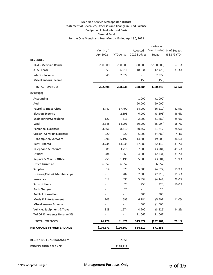## **Meridian Service Metropolitan District Statement of Revenues, Expenses and Change in Fund Balance Budget vs. Actual - Accrual Basis General Fund For the One Month and Four Months Ended April 30, 2022**

|                                          |                          |            |                          | Variance                                  |                          |
|------------------------------------------|--------------------------|------------|--------------------------|-------------------------------------------|--------------------------|
|                                          | Month of<br>Apr 2022     | YTD Actual | Adopted<br>2022 Budget   | Over (Under) % of Budget<br><b>Budget</b> | (33.3% YTD)              |
| <b>REVENUES</b>                          |                          |            |                          |                                           |                          |
| <b>IGA - Meridian Ranch</b>              | \$200,000                | \$200,000  | \$350,000                | (\$150,000)                               | 57.1%                    |
| AT&T Lease                               | 1,553                    | 6,211      | 18,634                   | (12, 423)                                 | 33.3%                    |
| <b>Interest Income</b>                   | 945                      | 2,327      |                          | 2,327                                     |                          |
| <b>Miscellaneous Income</b>              |                          |            | 150                      | (150)                                     |                          |
| <b>TOTAL REVENUES</b>                    | 202,498                  | 208,538    | 368,784                  | (160, 246)                                | 56.5%                    |
| <b>EXPENSES</b>                          |                          |            |                          |                                           |                          |
| <b>Accounting</b>                        |                          |            | 1,000                    | (1,000)                                   |                          |
| Audit                                    |                          |            | 20,000                   | (20,000)                                  |                          |
| <b>Payroll &amp; HR Services</b>         | 4,747                    | 17,790     | 54,000                   | (36, 210)                                 | 32.9%                    |
| <b>Election Expense</b>                  | $\overline{\phantom{a}}$ | 2,198      | 6,000                    | (3,803)                                   | 36.6%                    |
| <b>Engineering/Consulting</b>            | 122                      | 511        | 2,000                    | (1,489)                                   | 25.6%                    |
| Legal                                    | 3,848                    | 14,996     | 80,000                   | (65,004)                                  | 18.7%                    |
| <b>Personnel Expenses</b>                | 3,366                    | 8,510      | 30,357                   | (21, 847)                                 | 28.0%                    |
| <b>Copier - Contract Expenses</b>        | 220                      | 220        | 5,000                    | (4,780)                                   | 4.4%                     |
| IT/Computer/Software                     | 1,296                    | 5,197      | 14,200                   | (9,003)                                   | 36.6%                    |
| <b>Rent - Shared</b>                     | 3,734                    | 14,938     | 47,080                   | (32, 142)                                 | 31.7%                    |
| <b>Telephone &amp; Internet</b>          | 1,085                    | 3,716      | 7,500                    | (3,784)                                   | 49.5%                    |
| <b>Utilities</b>                         | 284                      | 1,269      | 4,000                    | (2,731)                                   | 31.7%                    |
| <b>Repairs &amp; Maint - Office</b>      | 255                      | 1,196      | 5,000                    | (3,804)                                   | 23.9%                    |
| <b>Office Furniture</b>                  | 6,057                    | 6,057      | $\overline{\phantom{a}}$ | 6,057                                     |                          |
| <b>Supplies</b>                          | 14                       | 873        | 5,500                    | (4,627)                                   | 15.9%                    |
| <b>Licenses, Certs &amp; Memberships</b> | $\overline{\phantom{a}}$ | 287        | 2,500                    | (2, 213)                                  | 11.5%                    |
| <b>Insurance</b>                         | 612                      | 1,695      | 5,839                    | (4, 144)                                  | 29.0%                    |
| <b>Subscriptions</b>                     |                          | 25         | 250                      | (225)                                     | 10.0%                    |
| <b>Bank Charges</b>                      |                          | 25         | $\overline{\phantom{a}}$ | 25                                        |                          |
| <b>Public Information</b>                |                          |            | 500                      | (500)                                     |                          |
| <b>Meals &amp; Entertainment</b>         | 103                      | 693        | 6,284                    | (5, 591)                                  | 11.0%                    |
| <b>Miscellaneous Expense</b>             | $\overline{\phantom{a}}$ | ÷,         | 1,000                    | (1,000)                                   | $\overline{\phantom{a}}$ |
| Vehicle, Equipment & Travel              | 383                      | 1,674      | 4,900                    | (3, 226)                                  | 34.2%                    |
| <b>TABOR Emergency Reserve 3%</b>        | $\overline{\phantom{a}}$ |            | 11,062                   | (11,062)                                  |                          |
| <b>TOTAL EXPENSES</b>                    | 26,128                   | 81,871     | 313,972                  | (232, 101)                                | 26.1%                    |
| <b>NET CHANGE IN FUND BALANCE</b>        | \$176,371                | \$126,667  | \$54,812                 | \$71,855                                  |                          |
| <b>BEGINNING FUND BALANCE**</b>          |                          | 62,251     |                          |                                           |                          |
| <b>ENDING FUND BALANCE</b>               |                          | \$188,918  |                          |                                           |                          |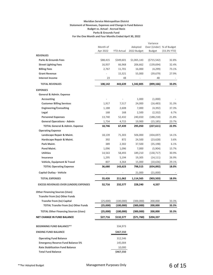### **Meridian Service Metropolitan District Statement of Revenues, Expenses and Change in Fund Balance Budget vs. Actual - Accrual Basis Parks & Grounds Fund For the One Month and Four Months Ended April 30, 2022**

|                                                          |                      |                   |                        | Variance                                  |                |
|----------------------------------------------------------|----------------------|-------------------|------------------------|-------------------------------------------|----------------|
|                                                          | Month of<br>Apr 2022 | <b>YTD Actual</b> | Adopted<br>2022 Budget | Over (Under) % of Budget<br><b>Budget</b> | (33.3% YTD)    |
| <b>REVENUES</b>                                          |                      |                   |                        |                                           |                |
| <b>Parks &amp; Grounds Fees</b>                          | \$88,415             | \$349,601         | \$1,065,143            | (5715, 542)                               | 32.8%          |
| <b>Street Lighting Fees</b>                              | 16,937               | 66,968            | 206,662                | (139, 694)                                | 32.4%          |
| <b>Billing Fees</b>                                      | 2,767                | 11,701            | 16,000                 | (4,299)                                   | 73.1%          |
| <b>Grant Revenue</b>                                     |                      | 15,321            | 55,000                 | (39, 679)                                 | 27.9%          |
| <b>Interest Income</b>                                   | 23                   | 48                |                        | 48                                        |                |
| <b>TOTAL REVENUES</b>                                    | 108,142              | 443,639           | 1,342,805              | (899, 166)                                | 33.0%          |
| <b>EXPENSES</b>                                          |                      |                   |                        |                                           |                |
| <b>General &amp; Admin. Expense</b>                      |                      |                   |                        |                                           |                |
| <b>Accounting</b>                                        |                      |                   | 1,000                  | (1,000)                                   |                |
| <b>Customer Billing Services</b>                         | 1,917                | 7,517             | 24,000                 | (16, 483)                                 | 31.3%          |
| <b>Engineering/Consulting</b>                            | 1,188                | 2,608             | 7,000                  | (4, 392)                                  | 37.3%          |
| Legal                                                    | 168                  | 168               | 2,500                  | (2, 332)                                  | 6.7%           |
| <b>Personnel Expenses</b>                                | 13,740               | 52,432            | 240,650                | (188, 218)                                | 21.8%          |
| <b>General Operations - Admin</b>                        | 1,734                | 4,715             | 19,900                 | (15, 185)                                 | 23.7%          |
| <b>TOTAL General &amp; Admin. Expense</b>                | 18,746               | 67,439            | 295,050                | (227, 611)                                | 22.9%          |
| <b>Operating Expense</b>                                 |                      |                   |                        |                                           |                |
| Landscape Repair & Maint.                                | 18,139               | 71,303            | 506,000                | (434, 697)                                | 14.1%          |
| Hardscape Repair & Maint.                                | 392                  | 872               | 24,500                 | (23, 628)                                 | 3.6%           |
| Park Maint.                                              | 389                  | 2,302             | 37,500                 | (35, 198)                                 | 6.1%           |
| Pond Maint.                                              | 1,096                | 1,096             | 7,000                  | (5,904)                                   | 15.7%          |
| <b>Utilities</b>                                         | 14,563               | 58,493            | 189,210                | (130, 717)                                | 30.9%          |
| Insurance                                                | 1,295                | 5,194             | 19,305                 | (14, 111)                                 | 26.9%          |
| Vehicle, Equipment & Travel                              | 807                  | 4,364             | 15,000                 | (10, 636)                                 | 29.1%<br>18.0% |
| <b>TOTAL Operating Expense</b>                           | 36,680               | 143,623           | 798,515                | (654, 892)                                |                |
| <b>Capital Outlay - Vehicle</b><br><b>TOTAL EXPENSES</b> |                      |                   | 21,000                 | (21,000)                                  | 18.9%          |
|                                                          | 55,426               | 211,062           | 1,114,565<br>228,240   | (903, 503)                                |                |
| <b>EXCESS REVENUES OVER (UNDER) EXPENSES</b>             | 52,716               | 232,577           |                        | 4,337                                     |                |
| <b>Other Financing Sources (Uses)</b>                    |                      |                   |                        |                                           |                |
| <b>Transfer from (to) Other Funds</b>                    |                      |                   |                        |                                           |                |
| <b>Transfer from (to) Capital</b>                        | (25,000)             | (100,000)         | (300,000)              | 200,000                                   | 33.3%          |
| <b>TOTAL Transfer from (to) Other Funds</b>              | (25,000)             | (100,000)         | (300,000)              | 200,000                                   | 33.3%          |
| <b>TOTAL Other Financing Sources (Uses)</b>              | (25,000)             | (100,000)         | (300,000)              | 200,000                                   | 33.3%          |
| <b>NET CHANGE IN FUND BALANCE</b>                        | \$27,716             | \$132,577         | (571,760)              | \$204,337                                 |                |
| <b>BEGINNING FUND BALANCE**</b>                          |                      | 334,973           |                        |                                           |                |
| <b>ENDING FUND BALANCE</b>                               |                      | \$467,550         |                        |                                           |                |
| <b>Operating Fund Balance</b>                            |                      | 312,546           |                        |                                           |                |
| <b>Emergency Reserve Fund Balance 5%</b>                 |                      | 145,004           |                        |                                           |                |
| <b>Rate Stabilization Fund Balance</b>                   |                      | 10,000            |                        |                                           |                |
| <b>Total Fund Balance</b>                                |                      | \$467,550         |                        |                                           |                |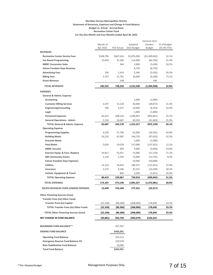### **Meridian Service Metropolitan District Statement of Revenues, Expenses and Change in Fund Balance Budget vs. Actual - Accrual Basis Recreation Center Fund For the One Month and Four Months Ended April 30, 2022**

|                                              |                          |                   |             | Variance Over |             |
|----------------------------------------------|--------------------------|-------------------|-------------|---------------|-------------|
|                                              | Month of                 |                   | Adopted     | (Under)       | % of Budget |
|                                              | Apr 2022                 | <b>YTD Actual</b> | 2022 Budget | <b>Budget</b> | (33.3% YTD) |
| <b>REVENUES</b>                              |                          |                   |             |               |             |
| <b>Recreation Center Service Fees</b>        | \$168,794                | \$667,416         | \$2,076,458 | (\$1,409,042) | 32.1%       |
| <b>Fee Based Programming</b>                 | 13,659                   | 47,206            | 114,000     | (66, 794)     | 41.4%       |
| <b>MRRC Concession Sales</b>                 |                          | 364               | 2,000       | (1,636)       | 18.2%       |
| <b>Falcon Freedom Days Revenue</b>           | ÷,                       |                   | 8,750       | (8, 750)      |             |
| <b>Advertising Fees</b>                      | 336                      | 1,414             | 5,340       | (3,926)       | 26.5%       |
| <b>Billing Fees</b>                          | 2,767                    | 11,701            | 16,000      | (4,299)       | 73.1%       |
| <b>Grant Revenue</b>                         |                          | 148               |             | 148           |             |
| <b>TOTAL REVENUES</b>                        | 185,555                  | 728,250           | 2,222,548   | (1,494,298)   | 32.8%       |
| <b>EXPENSES</b>                              |                          |                   |             |               |             |
| General & Admin. Expense                     |                          |                   |             |               |             |
| Accounting                                   |                          |                   | 1,000       | (1,000)       |             |
| <b>Customer Billing Services</b>             | 3,347                    | 13,128            | 42,000      | (28, 872)     | 31.3%       |
| <b>Engineering/Consulting</b>                | 769                      | 3,237             | 10,000      | (6, 763)      | 32.4%       |
| Legal                                        | ÷,                       | ÷                 | 1,000       | (1,000)       |             |
| <b>Personnel Expenses</b>                    | 83,415                   | 308,126           | 1,200,967   | (892, 841)    | 25.7%       |
| <b>General Operations - Admin</b>            | 5,156                    | 18,687            | 60,350      | (41, 663)     | 31.0%       |
| <b>TOTAL General &amp; Admin. Expense</b>    | 92,687                   | 343,178           | 1,315,317   | (972, 139)    | 26.1%       |
| <b>Operating Expense</b>                     |                          |                   |             |               |             |
| <b>Programming Supplies</b>                  | 4,239                    | 27,799            | 62,000      | (34, 201)     | 44.8%       |
| <b>Building Maint.</b>                       | 26,210                   | 47,067            | 144,720     | (97, 653)     | 32.5%       |
| Grounds Maint.                               | $\overline{\phantom{a}}$ | ÷,                | 1,000       | (1,000)       |             |
| Pool Maint.                                  | 5,626                    | 19,078            | 157,000     | (137, 922)    | 12.2%       |
| <b>MRRC Security</b>                         | $\overline{\phantom{a}}$ | 950               | 4,000       | (3,050)       | 23.8%       |
| Exercise Equip. & Furn.-Replace              | 24,812                   | 53,421            | 75,000      | (21, 579)     | 71.2%       |
| <b>MR Community Events</b>                   | 1,134                    | 1,245             | 15,000      | (13, 755)     | 8.3%        |
| <b>Falcon Freedom Days Expenses</b>          | $\frac{1}{2}$            | ÷,                | 50,000      | (50,000)      |             |
| <b>Utilities</b>                             | 16,124                   | 70,454            | 186,375     | (115, 921)    | 37.8%       |
| Insurance                                    | 2,275                    | 9,106             | 32,315      | (23, 209)     | 28.2%       |
| Vehicle, Equipment & Travel                  |                          | 849               | 2,500       | (1,651)       | 34.0%       |
| <b>TOTAL Operating Expense</b>               | 80,419                   | 229,967           | 729,910     | (499,943)     | 31.5%       |
|                                              |                          |                   |             |               |             |
| <b>TOTAL EXPENSES</b>                        | 173,107                  | 573,146           | 2,045,227   | (1,472,081)   | 28.0%       |
| <b>EXCESS REVENUES OVER (UNDER) EXPENSES</b> | 12,449                   | 155,104           | 177,321     | (22, 217)     |             |
| <b>Other Financing Sources (Uses)</b>        |                          |                   |             |               |             |
| <b>Transfer from (to) Other Funds</b>        |                          |                   |             |               |             |
| <b>Transfer from (to) Capital</b>            | (22, 330)                | (89, 360)         | (268,000)   | 178,640       | 33.3%       |
| <b>TOTAL Transfer from (to) Other Funds</b>  | (22,330)                 | (89,360)          | (268,000)   | 178,640       | 33.3%       |
| <b>TOTAL Other Financing Sources (Uses)</b>  | (22,330)                 | (89,360)          | (268,000)   | 178,640       | 33.3%       |
|                                              |                          |                   |             |               |             |
| <b>NET CHANGE IN FUND BALANCE</b>            | (\$9,881)                | \$65,744          | (\$90,679)  | \$156,423     |             |
| <b>BEGINNING FUND BALANCE**</b>              |                          | 427,347           |             |               |             |
| <b>ENDING FUND BALANCE</b>                   |                          | \$493,091         |             |               |             |
| <b>Operating Fund Balance</b>                |                          | 323,513           |             |               |             |
| <b>Emergency Reserve Fund Balance 5%</b>     |                          | 159,578           |             |               |             |
| <b>Rate Stabilization Fund Balance</b>       |                          | 10,000            |             |               |             |
| <b>Total Fund Balance</b>                    |                          | \$493,091         |             |               |             |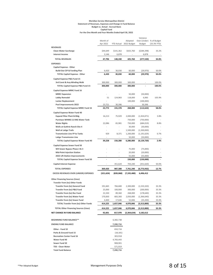### **Meridian Service Metropolitan District Statement of Revenues, Expenses and Change in Fund Balance Budget vs. Actual - Accrual Basis Capital Fund For the One Month and Four Months Ended April 30, 2022**

|                                              |                      |            |                          | Variance               |                            |
|----------------------------------------------|----------------------|------------|--------------------------|------------------------|----------------------------|
|                                              | Month of<br>Apr 2022 | YTD Actual | Adopted<br>2022 Budget   | Over (Under)<br>Budget | % of Budget<br>(33.3% YTD) |
| <b>REVENUES</b>                              |                      |            |                          |                        |                            |
| <b>Clean Water Surcharge</b>                 | \$44,649             | \$141,362  | \$425,760                | (\$284,398)            | 33.2%                      |
| <b>Interest Income</b>                       | 3,146                | 6,878      |                          | 6,878                  |                            |
| <b>TOTAL REVENUES</b>                        | 47,796               | 148,240    | 425,760                  | (277,520)              | 34.8%                      |
| <b>EXPENSES</b>                              |                      |            |                          |                        |                            |
| <b>Capital Expense - Other</b>               |                      |            |                          |                        |                            |
| <b>Build-Out CIP &amp; Funding Plan</b>      | 6,420                | 30,030     | 60,000                   | (29, 970)              | 50.0%                      |
| <b>TOTAL Capital Expense - Other</b>         | 6,420                | 30,030     | 60,000                   | (29, 970)              | 50.0%                      |
| Capital Expense P&G Fund 15                  |                      |            |                          |                        |                            |
| 3rd Const & Acq-Winding Walk                 | 300,000              | 300,000    | 300,000                  |                        | 100.0%                     |
| <b>TOTAL Capital Expense P&amp;G Fund 15</b> | 300,000              | 300,000    | 300,000                  |                        | 100.0%                     |
| <b>Capital Expense MRRC Fund 16</b>          |                      |            |                          |                        |                            |
| <b>MRRC Expansion</b>                        |                      |            | 50,000                   | (50,000)               |                            |
| <b>Lobby Remodel</b>                         | 51                   | 124,983    | 118,000                  | 6,983                  | 105.9%                     |
| <b>Locker Replacement</b>                    |                      |            | 100,000                  | (100,000)              |                            |
| Pool Improvements 2022                       | 23,721               | 30,396     | $\overline{\phantom{a}}$ | 30,396                 |                            |
| <b>TOTAL Capital Expense MRRC Fund 16</b>    | 23,772               | 155,378    | 268,000                  | (112, 622)             | 58.0%                      |
| Capital Expense Water Fund 40                |                      |            |                          |                        |                            |
| <b>Expand Filter Plant &amp; Bldg</b>        | 16,213               | 75,929     | 2,000,000                | (1,924,071)            | 3.8%                       |
| Purchase WHMD 2.0 MG Water Tank              |                      |            | 750,000                  | (750,000)              |                            |
| <b>Water Rights</b>                          | 22,086               | 65,981     | 750,000                  | (684, 019)             | 8.8%                       |
| Wells at Guthrie Ranch Site 4                |                      |            | 30,000                   | (30,000)               |                            |
| <b>Well at Latigo Trails</b>                 |                      |            | 1,500,000                | (1,500,000)            |                            |
| <b>Transmission Line FP to Tanks</b>         | 929                  | 8,371      | 1,200,000                | (1, 191, 629)          | 0.7%                       |
| <b>Latigo Transmission Line</b>              |                      |            | 50,000                   | (50,000)               |                            |
| <b>TOTAL Capital Expense Water Fund 40</b>   | 39,228               | 150,280    | 6,280,000                | (6, 129, 720)          | 2.4%                       |
| <b>Capital Expense Sewer Fund 50</b>         |                      |            |                          |                        |                            |
| WH Sewer Bypass Phase 2 & 3                  |                      |            | 75,000                   | (75,000)               |                            |
| <b>Mid-Point Injection Station</b>           |                      |            | 20,000                   | (20,000)               |                            |
| 2022 Lift Station Improvements               |                      |            | 55,000                   | (55,000)               |                            |
| <b>TOTAL Capital Expense Sewer Fund 50</b>   |                      |            | 150,000                  | (150,000)              |                            |
| <b>Capital Interest Expense</b>              |                      | 351,620    | 703,240                  | (351, 620)             | 50.0%                      |
|                                              |                      |            |                          |                        |                            |
| <b>TOTAL EXPENSES</b>                        | 369,420              | 987,308    | 7,761,240                | (6,773,932)            | 12.7%                      |
| <b>EXCESS REVENUES OVER (UNDER) EXPENSES</b> | (321, 624)           | (839,068)  | (7, 335, 480)            | 6,496,412              |                            |
| <b>Other Financing Sources (Uses)</b>        |                      |            |                          |                        |                            |
| Transfer from (to) Other Funds               |                      |            |                          |                        |                            |
| Transfer from (to) General Fund              | 191,665              | 766,680    | 2,300,000                | (1,533,320)            | 33.3%                      |
| <b>Transfer from (to) P&amp;G Fund</b>       | 25,000               | 100,000    | 300,000                  | (200,000)              | 33.3%                      |
| Transter from (to) Rec Fund                  | 22,330               | 89,360     | 268,000                  | (178, 640)             | 33.3%                      |
| Transfer from (to) Water Fund                | 170,830              | 683,360    | 2,050,000                | (1,366,640)            | 33.3%                      |
| <b>Transfer from (to) Sewer Fund</b>         | 4,400                | 17,646     | 52,846                   | (35, 200)              | 33.4%                      |
| <b>TOTAL Transfer from (to) Other Funds</b>  | 414,225              | 1,657,046  | 4,970,846                | (3,313,800)            | 33.3%                      |
| <b>TOTAL Other Financing Sources (Uses)</b>  | 414,225              | 1,657,046  | 4,970,846                | (3,313,800)            | 33.3%                      |
| NET CHANGE IN FUND BALANCE                   | 92,601               | 817,978    | (2,364,634)              | 3,182,612              |                            |
|                                              |                      |            |                          |                        |                            |
| <b>BEGINNING FUND BALANCE**</b>              |                      | 6,382,738  |                          |                        |                            |
| <b>ENDING FUND BALANCE</b>                   |                      | 7,200,716  |                          |                        |                            |
| Other - Fund 10                              |                      | 650,716    |                          |                        |                            |
| Parks & Ground Fund 15                       |                      | (18, 181)  |                          |                        |                            |
| <b>Recreation Center Fund 16</b>             |                      | 303,918    |                          |                        |                            |
| Water Fund 40                                |                      | 4,783,443  |                          |                        |                            |
| Sewer Fund 50                                |                      | 908,901    |                          |                        |                            |
| TDS - Clean Water                            |                      | 571,919    |                          |                        |                            |
| <b>Total Fund Balance</b>                    |                      | 7,200,716  |                          |                        |                            |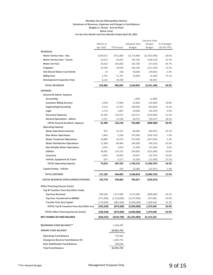### **Meridian Service Metropolitan District Statement of Revenues, Expenses and Change in Fund Balance Budget vs. Actual - Accrual Basis Water Fund For the One Month and Four Months Ended April 30, 2022**

|                                                      |                      |                   |                               | Variance Over            |                            |
|------------------------------------------------------|----------------------|-------------------|-------------------------------|--------------------------|----------------------------|
|                                                      | Month of<br>Apr 2022 | <b>YTD Actual</b> | Adopted 2022<br><b>Budget</b> | (Under)<br><b>Budget</b> | % of Budget<br>(33.3% YTD) |
| <b>REVENUES</b>                                      |                      |                   |                               |                          |                            |
| Water Service Fees - Res.                            | \$199,013            | \$761,080         | \$2,714,980                   | ( \$1,953,900)           | 28.0%                      |
| <b>Water Service Fees - Comm.</b>                    | 10,623               | 36,655            | 145,165                       | (108, 510)               | 25.3%                      |
| <b>Meter Set Fees</b>                                | 24,010               | 105,080           | 162,500                       | (57, 420)                | 64.7%                      |
| Irrigation                                           | 10,336               | 34,634            | 256,190                       | (221, 556)               | 13.5%                      |
| IGA Shared Water Cost Reimb.                         | 10                   | 108               | 40,000                        | (39, 892)                | 0.3%                       |
| <b>Billing Fees</b>                                  | 2,767                | 11,701            | 16,000                        | (4,299)                  | 73.1%                      |
| <b>Development Inspection Fees</b>                   | 6,125                | 34,438            |                               | 34,438                   |                            |
| <b>TOTAL REVENUES</b>                                | 252,883              | 983,695           | 3,334,835                     | (2,351,140)              | 29.5%                      |
| <b>EXPENSES</b>                                      |                      |                   |                               |                          |                            |
| General & Admin. Expense                             |                      |                   |                               |                          |                            |
| <b>Accounting</b>                                    |                      |                   | 1,000                         | (1,000)                  |                            |
| <b>Customer Billing Services</b>                     | 4,548                | 17,840            | 52,800                        | (34,960)                 | 33.8%                      |
| <b>Engineering/Consulting</b>                        | 5,522                | 14,197            | 100,000                       | (85, 803)                | 14.2%                      |
| Legal                                                | 1,723                | 1,807             | 20,000                        | (18, 193)                | 9.0%                       |
| <b>Personnel Expenses</b>                            | 24,185               | 110,227           | 524,311                       | (414,084)                | 21.0%                      |
| <b>General Operations - Admin</b>                    | 5,311                | 12,148            | 66,575                        | (54, 427)                | 18.2%                      |
| <b>TOTAL General &amp; Admin. Expense</b>            | 41,289               | 156,218           | 764,686                       | (608,468)                | 20.4%                      |
| <b>Operating Expense</b>                             |                      |                   |                               |                          |                            |
| <b>Water Operations General</b>                      | 837                  | 25,537            | 86,000                        | (60, 463)                | 29.7%                      |
| <b>Raw Water Operations</b>                          | 1,845                | 5,266             | 375,000                       | (369, 734)               | 1.4%                       |
| <b>Water Treatment Operations</b>                    | 18,889               | 25,074            | 473,000                       | (447, 926)               | 5.3%                       |
| <b>Water Distribution Operations</b>                 | 12,388               | 84,484            | 184,000                       | (99, 516)                | 45.9%                      |
| <b>Non-Potable Water Operations</b>                  | 2,054                | 2,054             | 21,500                        | (19, 446)                | 9.6%                       |
| <b>Utilities</b>                                     | 36,081               | 124,101           | 539,685                       | (415, 584)               | 23.0%                      |
| Insurance                                            | 3,085                | 16,693            | 49,447                        | (32, 754)                | 33.8%                      |
| Vehicle, Equipment & Travel                          | 637                  | 4,217             | 15,500                        | (11, 283)                | 27.2%                      |
| <b>TOTAL Operating Expense</b>                       | 75,816               | 287,425           | 1,744,132                     | (1,456,707)              | 16.5%                      |
| Capital Outlay - Vehicle                             |                      | 450               | 32,000                        | (31, 551)                | 1.4%                       |
| <b>TOTAL EXPENSES</b>                                | 117,105              | 444,093           | 2,540,818                     | (2,096,725)              | 17.5%                      |
| <b>EXCESS REVENUES OVER (UNDER) EXPENSES</b>         | 135,778              | 539,602           | 794,017                       | (254,415)                |                            |
| <b>Other Financing Sources (Uses)</b>                |                      |                   |                               |                          |                            |
| Tap & Transfers from (to) Other Funds                |                      |                   |                               |                          |                            |
| <b>Tap Fees Received</b>                             | 349,500              | 1,527,000         | 2,375,000                     | (848,000)                | 64.3%                      |
| <b>Tap Fees Transferred to MRMD</b>                  | (371,000)            | (1,518,000)       | (2,375,000)                   | 857,000                  | 63.9%                      |
| <b>Transfer from (to) Capital</b>                    | (170, 830)           | (683, 360)        | (2,050,000)                   | 1,366,640                | 33.3%                      |
| <b>TOTAL Tap &amp; Transfers from (to) Other Fun</b> | (192, 330)           | (674, 360)        | (2,050,000)                   | 1,375,640                | 32.9%                      |
| <b>TOTAL Other Financing Sources (Uses)</b>          | (192, 330)           | (674, 360)        | (2,050,000)                   | 1,375,640                | 32.9%                      |
| <b>NET CHANGE IN FUND BALANCE</b>                    | $($ \$56,552)        | (5134,758)        | (\$1,255,983)                 | \$1,121,225              |                            |
| <b>BEGINNING FUND BALANCE**</b>                      |                      | 2,166,493         |                               |                          |                            |
| <b>ENDING FUND BALANCE</b>                           |                      | \$2,031,735       |                               |                          |                            |
| <b>Operating Fund Balance</b>                        |                      | 725,982           |                               |                          |                            |
| <b>Emergency Reserve Fund Balance 5%</b>             |                      | 1,005,753         |                               |                          |                            |
| <b>Rate Stabilization Fund Balance</b>               |                      | 300,000           |                               |                          |                            |
| <b>Total Fund Balance</b>                            |                      | \$2,031,735       |                               |                          |                            |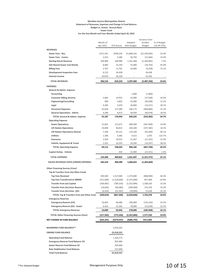### **Meridian Service Metropolitan District Statement of Revenues, Expenses and Change in Fund Balance Budget vs. Actual - Accrual Basis Sewer Fund For the One Month and Four Months Ended April 30, 2022**

|                                                           |                    |                    |                       | Variance Over               |                 |
|-----------------------------------------------------------|--------------------|--------------------|-----------------------|-----------------------------|-----------------|
|                                                           | Month of           |                    | Adopted               | (Under)                     | % of Budget     |
|                                                           | Apr 2022           | <b>YTD Actual</b>  | 2022 Budget           | <b>Budget</b>               | (33.3% YTD)     |
| <b>REVENUES</b>                                           |                    |                    |                       |                             |                 |
| Sewer Fees - Res.<br>Sewer Fees - Comm.                   | \$151,341<br>2,253 | \$598,239<br>5,286 | \$1,848,242<br>36,750 | ( \$1,250,003)<br>(31, 464) | 32.4%<br>14.4%  |
| <b>Sterling Ranch Revenue</b>                             | 100,986            | 100,986            | 1,341,468             | (1, 240, 482)               | 7.5%            |
| IGA Shared Sewer Cost Reimb.                              | 8,983              | 25,244             | 55,000                | (29, 756)                   | 45.9%           |
| <b>Billing Fees</b>                                       | 2,767              | 11,701             | 16,000                | (4, 299)                    | 73.1%           |
| <b>Development Inspection Fees</b>                        | 6,125              | 34,438             |                       | 34,438                      |                 |
| <b>Interest Income</b>                                    | 34,070             | 34,330             |                       | 34,330                      |                 |
| <b>TOTAL REVENUES</b>                                     |                    |                    |                       |                             |                 |
|                                                           | 306,524            | 810,224            | 3,297,460             | (2,487,236)                 | 24.6%           |
| <b>EXPENSES</b>                                           |                    |                    |                       |                             |                 |
| General & Admin. Expense                                  |                    |                    |                       |                             |                 |
| Accounting                                                |                    |                    | 1,000                 | (1,000)                     |                 |
| <b>Customer Billing Services</b>                          | 3,685              | 14,452             | 42,000                | (27, 548)                   | 34.4%           |
| <b>Engineering/Consulting</b>                             | 999                | 4,602              | 35,000                | (30, 398)                   | 13.1%           |
| Legal                                                     | 4,285              | 5,629              | 20,000                | (14, 371)                   | 28.1%           |
| <b>Personnel Expenses</b>                                 | 41,820             | 137,289            | 546,175               | (408, 886)                  | 25.1%           |
| <b>General Operations - Admin</b>                         | 4,399              | 8,972              | 49,050                | (40, 078)                   | 18.3%           |
| <b>TOTAL General &amp; Admin. Expense</b>                 | 55,187             | 170,943            | 693,225               | (522,282)                   | 24.7%           |
| <b>Operating Expense</b>                                  |                    |                    |                       |                             |                 |
| <b>Sewer Operations</b>                                   | 31,855             | 121,672            | 489,500               | (367, 828)                  | 24.9%           |
| <b>Lift Station Operations</b>                            | 24,048             | 46,815             | 244,200               | (197, 385)                  | 19.2%           |
| <b>Lift Station Operations-Shared</b><br><b>Utilities</b> | 7,109              | 44,151             | 110,100               | (65, 949)                   | 40.1%<br>123.7% |
| Insurance                                                 | 1,396              | 5,585<br>10,015    | 4,515<br>31,367       | 1,070                       | 31.9%           |
| Vehicle, Equipment & Travel                               | 2,504<br>2,201     | 10,203             | 26,500                | (21, 352)<br>(16, 297)      | 38.5%           |
| <b>TOTAL Operating Expense</b>                            | 69,112             | 238,442            | 906,182               | (667, 740)                  | 26.3%           |
|                                                           |                    |                    |                       |                             |                 |
| Capital Outlay - Vehicle                                  |                    | 450                | 32,000                | (31, 551)                   | 1.4%            |
| <b>TOTAL EXPENSES</b>                                     | 124,300            | 409,835            | 1,631,407             | (1,221,572)                 | 25.1%           |
| <b>EXCESS REVENUES OVER (UNDER) EXPENSES</b>              | 182,224            | 400,389            | 1,666,053             | (1,265,664)                 |                 |
| <b>Other Financing Sources (Uses)</b>                     |                    |                    |                       |                             |                 |
| Tap & Transfers from (to) Other Funds                     |                    |                    |                       |                             |                 |
| <b>Tap Fees Received</b>                                  | 349,500            | 1,527,000          | 2,375,000             | (848,000)                   | 64.3%           |
| <b>Tap Fees Transferred to MRMD</b>                       | (371,000)          | (1,518,000)        | (2,375,000)           | 857,000                     | 63.9%           |
| <b>Transfer from (to) Capital</b>                         | (196, 065)         | (784,326)          | (2,352,846)           | 1,568,520                   | 33.3%           |
| <b>Transfer from (to) Emer Reserve</b>                    | (16, 665)          | (66, 680)          | (200,000)             | 133,320                     | 33.3%           |
| Transfer from (to) Emer. (\$2)                            | (6,424)            | (25, 362)          | (78,000)              | 52,638                      | 32.5%           |
| TOTAL Tap & Transfers from (to) Other Fund                | (240,654)          | (867,368)          | (2,630,846)           | 1,763,478                   | 33.0%           |
| <b>Emergency Reserves</b>                                 |                    |                    |                       |                             |                 |
| <b>Emergency Reserve (5%)</b>                             | 16,665             | 66,680             | 200,000               | (133, 320)                  | 33.3%           |
| Emergency Reserve (\$2) - Sewer                           | 6,424              | 25,362             | 78,000                | (52, 638)                   | 32.5%           |
| <b>TOTAL Emergency Reserves</b>                           | 23,089             | 92,042             | 278,000               | (185,958)                   | 33.1%           |
| <b>TOTAL Other Financing Sources (Uses)</b>               | (217, 565)         | (775,326)          | (2,352,846)           | 1,577,520                   | 33.0%           |
| NET CHANGE IN FUND BALANCE                                | (\$35,341)         | (\$374,937)        | (\$686,793)           | \$311,856                   |                 |
|                                                           |                    |                    |                       |                             |                 |
| <b>BEGINNING FUND BALANCE**</b>                           |                    | 3,293,262          |                       |                             |                 |
| <b>ENDING FUND BALANCE</b>                                |                    | \$2,918,325        |                       |                             |                 |
| <b>Operating Fund Balance</b>                             |                    | 1,320,373          |                       |                             |                 |
| <b>Emergency Reserve Fund Balance 5%</b>                  |                    | 853,484            |                       |                             |                 |
| Sewer Reserve Fund Balance \$2                            |                    | 429,468            |                       |                             |                 |
| <b>Rate Stabilization Fund Balance</b>                    |                    | 315,000            |                       |                             |                 |
| <b>Total Fund Balance</b>                                 |                    | \$2,918,325        |                       |                             |                 |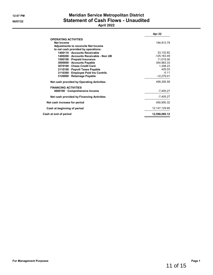# **12:07 PM Meridian Service Metropolitan District 06/07/22 Statement of Cash Flows - Unaudited**

# **April 2022**

|                                            | Apr 22          |
|--------------------------------------------|-----------------|
| <b>OPERATING ACTIVITIES</b>                |                 |
| Net Income                                 | 194,913.79      |
| <b>Adjustments to reconcile Net Income</b> |                 |
| to net cash provided by operations:        |                 |
| 1400110 Accounts Receivable                | 33,132.82       |
| 1400200 Accounts Receivable - Non UB       | $-125, 163.49$  |
| 1500100 · Prepaid Insurance                | 11,015.00       |
| 3000000 Accounts Payable                   | 354,963.33      |
| 3070100 Chase Credit Card                  | 1.348.23        |
| 3110100 · Payroll Taxes Payable            | 425.03          |
| 3110300 Employee Paid Ins Contrib.         | $-0.11$         |
| 3120000 · Retainage Payable                | $-12,279.01$    |
| Net cash provided by Operating Activities  | 458,355.59      |
| <b>FINANCING ACTIVITIES</b>                |                 |
| 4000100 Comprehensive Income               | -7,405.27       |
| Net cash provided by Financing Activities  | -7,405.27       |
| Net cash increase for period               | 450,950.32      |
| Cash at beginning of period                | 12, 147, 129.80 |
| Cash at end of period                      | 12,598,080.12   |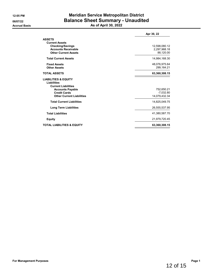# **12:05 PM Meridian Service Metropolitan District 06/07/22 Balance Sheet Summary - Unaudited Accrual Basis As of April 30, 2022**

|                                       | Apr 30, 22    |
|---------------------------------------|---------------|
| <b>ASSETS</b>                         |               |
| <b>Current Assets</b>                 |               |
| <b>Checking/Savings</b>               | 12,598,080.12 |
| <b>Accounts Receivable</b>            | 2,297,968.18  |
| <b>Other Current Assets</b>           | 88,120.00     |
| <b>Total Current Assets</b>           | 14,984,168.30 |
| <b>Fixed Assets</b>                   | 48,076,975.64 |
| <b>Other Assets</b>                   | 299,164.21    |
| <b>TOTAL ASSETS</b>                   | 63,360,308.15 |
| <b>LIABILITIES &amp; EQUITY</b>       |               |
| <b>Liabilities</b>                    |               |
| <b>Current Liabilities</b>            |               |
| <b>Accounts Payable</b>               | 752,650.21    |
| <b>Credit Cards</b>                   | $-7,032.80$   |
| <b>Other Current Liabilities</b>      | 14,079,432.34 |
| <b>Total Current Liabilities</b>      | 14,825,049.75 |
| <b>Long Term Liabilities</b>          | 26,555,537.95 |
| <b>Total Liabilities</b>              | 41,380,587.70 |
| <b>Equity</b>                         | 21,979,720.45 |
| <b>TOTAL LIABILITIES &amp; EQUITY</b> | 63,360,308.15 |
|                                       |               |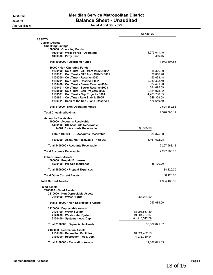# **12:06 PM Meridian Service Metropolitan District 06/07/22 Balance Sheet - Unaudited Accrual Basis As of April 30, 2022**

|                                                                                                 | Apr 30, 22                     |
|-------------------------------------------------------------------------------------------------|--------------------------------|
| <b>ASSETS</b>                                                                                   |                                |
| <b>Current Assets</b>                                                                           |                                |
| <b>Checking/Savings</b><br>1000000 · Operating Funds                                            |                                |
| 1000100 · Wells Fargo - Operating                                                               | 1,973,011.40                   |
| 1000300 · Petty Cash                                                                            | 386.16                         |
| Total 1000000 Operating Funds                                                                   | 1,973,397.56                   |
| 110000 · Non-Operating Funds                                                                    |                                |
| 1100100 ColoTrust - CTF from MRMD 8001                                                          | 15,326.99                      |
| 1100101 ColoTrust - CTF from MRMD E001                                                          | 38,016.76                      |
| 1100200 ColoTrust - Reserve 8002                                                                | 50,033.48                      |
| 1100201 ColoTrust - Reserve E002                                                                | 2,089,302.50                   |
| 1100400 ColoTrust - Sewer Reserve 8004                                                          | 37,491.90                      |
| 1100401 · ColoTrust - Sewer Reserve E003                                                        | 384,695.59                     |
| 1100500 · ColoTrust - Cap Projects 8005                                                         | 2,681,078.92                   |
| 1100501 · ColoTrust - Cap Projects E004<br>1100601 ColoTrus - Rate Stabiliz E005                | 4,203,736.05                   |
| 1100901 · Bank of the San Juans - Reserves                                                      | 648,359.58                     |
|                                                                                                 | 476,640.79                     |
| Total 110000 · Non-Operating Funds                                                              | 10,624,682.56                  |
| <b>Total Checking/Savings</b>                                                                   | 12,598,080.12                  |
| <b>Accounts Receivable</b><br>1400000 · Accounts Receivable<br>1400100 · UB Accounts Receivable |                                |
| 1400110 Accounts Receivable                                                                     | 836,375.90                     |
| Total 1400100 · UB Accounts Receivable                                                          | 836,375.90                     |
| 1400200 Accounts Receivable - Non UB                                                            | 1,461,592.28                   |
| Total 1400000 Accounts Receivable                                                               | 2,297,968.18                   |
| <b>Total Accounts Receivable</b>                                                                | 2,297,968.18                   |
| <b>Other Current Assets</b><br>1500000 · Prepaid Expenses<br>1500100 · Prepaid Insurance        | 88,120.00                      |
| Total 1500000 · Prepaid Expenses                                                                | 88,120.00                      |
| <b>Total Other Current Assets</b>                                                               | 88,120.00                      |
|                                                                                                 | 14,984,168.30                  |
| <b>Total Current Assets</b>                                                                     |                                |
| <b>Fixed Assets</b>                                                                             |                                |
| 2100000 Fixed Assets                                                                            |                                |
| 2110000 · Non-Depreciable Assets                                                                |                                |
| 2110100 · Water Rights                                                                          | 257,084.50                     |
| Total 2110000 · Non-Depreciable Assets                                                          | 257,084.50                     |
| 2120000 Depreciable Assets                                                                      |                                |
| 2120100 · Water System                                                                          | 38,293,567.39                  |
| 2120200 · Wastewater System                                                                     | 19,204,787.07                  |
| 2120400 · Systems - Acc. Dep.                                                                   | -21,915,512.79                 |
| Total 2120000 Depreciable Assets                                                                | 35,582,841.67                  |
| 2130000 · Recreation Assets                                                                     |                                |
|                                                                                                 |                                |
| 2130100 · Recreation Facilities<br>2130300 Recreation - Acc. Dep.                               | 16,821,402.59<br>-4,933,780.94 |
|                                                                                                 |                                |
| Total 2130000 · Recreation Assets                                                               | 11,887,621.65                  |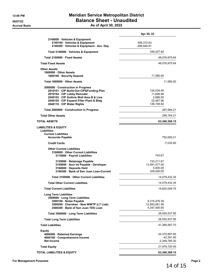# **12:06 PM Meridian Service Metropolitan District 06/07/22 Balance Sheet - Unaudited Accrual Basis As of April 30, 2022**

|                                                                                                                                                                                                                                     | Apr 30, 22                                                     |  |  |
|-------------------------------------------------------------------------------------------------------------------------------------------------------------------------------------------------------------------------------------|----------------------------------------------------------------|--|--|
| 2140000 · Vehicles & Equipment<br>2140100 · Vehicles & Equipment<br>2140300 · Vehicles & Equipment - Acc. Dep                                                                                                                       | 556,372.63<br>$-206,944.81$                                    |  |  |
| Total 2140000 · Vehicles & Equipment                                                                                                                                                                                                | 349,427.82                                                     |  |  |
| Total 2100000 Fixed Assets                                                                                                                                                                                                          | 48,076,975.64                                                  |  |  |
| <b>Total Fixed Assets</b>                                                                                                                                                                                                           | 48,076,975.64                                                  |  |  |
| Other Assets<br>1600000 Other Assets<br>1600100 · Security Deposit                                                                                                                                                                  | 11,580.00                                                      |  |  |
| Total 1600000 Other Assets                                                                                                                                                                                                          | 11,580.00                                                      |  |  |
| 2000000 · Construction in Progress<br>2010101 · CIP Build-Out CIP&Funding Plan<br>2016104 · CIP Lobby Remodel<br>2040103 · CIP Guthrie Well Area B & Line<br>2040105 · CIP Expand Filter Plant & Bldg<br>2040110 · CIP Water Rights | 124,034.45<br>11,646.98<br>2,686.00<br>22,467.96<br>126,748.82 |  |  |
| Total 2000000 · Construction in Progress                                                                                                                                                                                            | 287,584.21                                                     |  |  |
| <b>Total Other Assets</b>                                                                                                                                                                                                           | 299,164.21                                                     |  |  |
| TOTAL ASSETS                                                                                                                                                                                                                        | 63,360,308.15                                                  |  |  |
| LIABILITIES & EQUITY<br>Liabilities<br><b>Current Liabilities</b><br><b>Accounts Payable</b>                                                                                                                                        | 752,650.21                                                     |  |  |
| <b>Credit Cards</b>                                                                                                                                                                                                                 | $-7,032.80$                                                    |  |  |
| <b>Other Current Liabilities</b><br>3100000 Other Current Liabilities<br>3110000 · Payroll Liabilities                                                                                                                              | 743.67                                                         |  |  |
| 3120000 · Retainage Payable<br>3140000 · Accr Int Payable - Developer<br>3160000 · Deposits Held<br>3180300 Bank of San Juan Loan-Current                                                                                           | 153,211.67<br>13,591,477.00<br>5,000.00<br>329,000.00          |  |  |
| Total 3100000 Other Current Liabilities                                                                                                                                                                                             | 14,079,432.34                                                  |  |  |
| <b>Total Other Current Liabilities</b>                                                                                                                                                                                              | 14,079,432.34                                                  |  |  |
| <b>Total Current Liabilities</b>                                                                                                                                                                                                    | 14,825,049.75                                                  |  |  |
| <b>Long Term Liabilities</b><br>3500000 · Long Term Liabilities<br>3500100 · Notes Payable<br>3500200 · Cherokee - New WWTP (LT Liab)<br>3500300 Bank of San Juan TDS Loan                                                          | 9,315,476.39<br>12,893,061.56<br>4,347,000.00                  |  |  |
| Total 3500000 · Long Term Liabilities                                                                                                                                                                                               | 26,555,537.95                                                  |  |  |
| <b>Total Long Term Liabilities</b>                                                                                                                                                                                                  | 26,555,537.95                                                  |  |  |
| <b>Total Liabilities</b>                                                                                                                                                                                                            | 41,380,587.70                                                  |  |  |
| Equity<br>4000000 · Retained Earnings<br>4000100 · Comprehensive Income<br>Net Income                                                                                                                                               | 24,370,897.65<br>-42,391.90<br>$-2,348,785.30$                 |  |  |
| <b>Total Equity</b>                                                                                                                                                                                                                 | 21,979,720.45                                                  |  |  |
| TOTAL LIABILITIES & EQUITY                                                                                                                                                                                                          | 63,360,308.15                                                  |  |  |

14 of 15